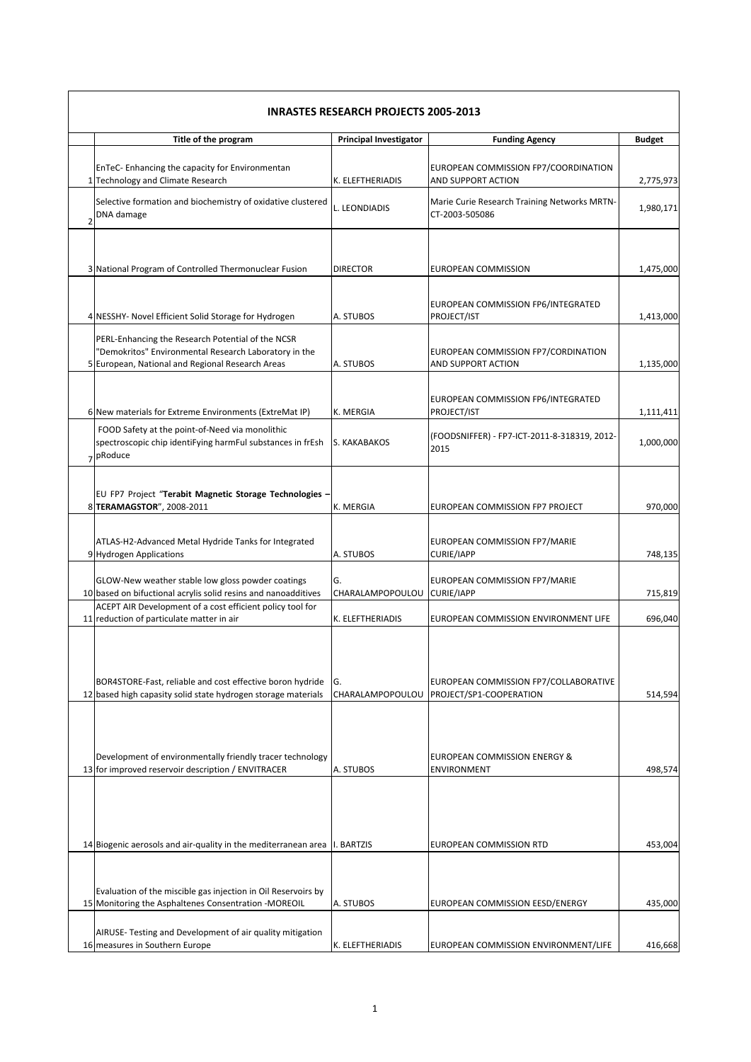|   | <b>INRASTES RESEARCH PROJECTS 2005-2013</b>                                                                                                                    |                               |                                                                  |               |
|---|----------------------------------------------------------------------------------------------------------------------------------------------------------------|-------------------------------|------------------------------------------------------------------|---------------|
|   | Title of the program                                                                                                                                           | <b>Principal Investigator</b> | <b>Funding Agency</b>                                            | <b>Budget</b> |
|   | EnTeC- Enhancing the capacity for Environmentan<br>1 Technology and Climate Research                                                                           | K. ELEFTHERIADIS              | EUROPEAN COMMISSION FP7/COORDINATION<br>AND SUPPORT ACTION       | 2,775,973     |
| 2 | Selective formation and biochemistry of oxidative clustered<br>DNA damage                                                                                      | L. LEONDIADIS                 | Marie Curie Research Training Networks MRTN-<br>CT-2003-505086   | 1,980,171     |
|   | 3 National Program of Controlled Thermonuclear Fusion                                                                                                          | <b>DIRECTOR</b>               | EUROPEAN COMMISSION                                              | 1,475,000     |
|   | 4 NESSHY- Novel Efficient Solid Storage for Hydrogen                                                                                                           | A. STUBOS                     | EUROPEAN COMMISSION FP6/INTEGRATED<br>PROJECT/IST                | 1,413,000     |
|   | PERL-Enhancing the Research Potential of the NCSR<br>'Demokritos" Environmental Research Laboratory in the<br>5 European, National and Regional Research Areas | A. STUBOS                     | EUROPEAN COMMISSION FP7/CORDINATION<br>AND SUPPORT ACTION        | 1,135,000     |
|   | 6 New materials for Extreme Environments (ExtreMat IP)                                                                                                         | K. MERGIA                     | EUROPEAN COMMISSION FP6/INTEGRATED<br>PROJECT/IST                | 1,111,411     |
|   | FOOD Safety at the point-of-Need via monolithic<br>spectroscopic chip identiFying harmFul substances in frEsh<br>7 pRoduce                                     | S. KAKABAKOS                  | (FOODSNIFFER) - FP7-ICT-2011-8-318319, 2012-<br>2015             | 1,000,000     |
|   | EU FP7 Project "Terabit Magnetic Storage Technologies -<br>8 TERAMAGSTOR", 2008-2011                                                                           | K. MERGIA                     | EUROPEAN COMMISSION FP7 PROJECT                                  | 970,000       |
|   | ATLAS-H2-Advanced Metal Hydride Tanks for Integrated<br>9 Hydrogen Applications                                                                                | A. STUBOS                     | EUROPEAN COMMISSION FP7/MARIE<br><b>CURIE/IAPP</b>               | 748,135       |
|   | GLOW-New weather stable low gloss powder coatings<br>10 based on bifuctional acrylis solid resins and nanoadditives                                            | G.<br>CHARALAMPOPOULOU        | EUROPEAN COMMISSION FP7/MARIE<br><b>CURIE/IAPP</b>               | 715,819       |
|   | ACEPT AIR Development of a cost efficient policy tool for<br>11 reduction of particulate matter in air                                                         | K. ELEFTHERIADIS              | EUROPEAN COMMISSION ENVIRONMENT LIFE                             | 696,040       |
|   | BOR4STORE-Fast, reliable and cost effective boron hydride<br>12 based high capasity solid state hydrogen storage materials                                     | G.<br>CHARALAMPOPOULOU        | EUROPEAN COMMISSION FP7/COLLABORATIVE<br>PROJECT/SP1-COOPERATION | 514,594       |
|   | Development of environmentally friendly tracer technology<br>13 for improved reservoir description / ENVITRACER                                                | A. STUBOS                     | EUROPEAN COMMISSION ENERGY &<br><b>ENVIRONMENT</b>               | 498,574       |
|   | 14 Biogenic aerosols and air-quality in the mediterranean area  I. BARTZIS                                                                                     |                               | EUROPEAN COMMISSION RTD                                          | 453,004       |
|   | Evaluation of the miscible gas injection in Oil Reservoirs by<br>15 Monitoring the Asphaltenes Consentration - MOREOIL                                         | A. STUBOS                     | EUROPEAN COMMISSION EESD/ENERGY                                  | 435,000       |
|   | AIRUSE-Testing and Development of air quality mitigation<br>16 measures in Southern Europe                                                                     | K. ELEFTHERIADIS              | EUROPEAN COMMISSION ENVIRONMENT/LIFE                             | 416,668       |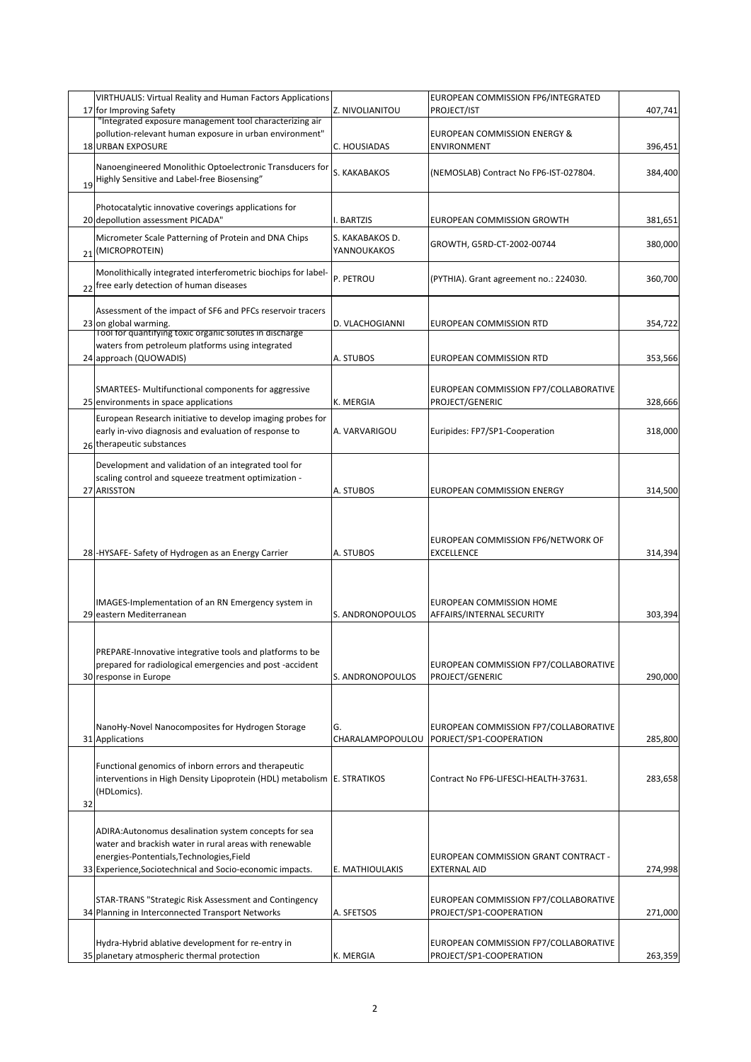|    | VIRTHUALIS: Virtual Reality and Human Factors Applications                                                          |                                | EUROPEAN COMMISSION FP6/INTEGRATED                               |         |
|----|---------------------------------------------------------------------------------------------------------------------|--------------------------------|------------------------------------------------------------------|---------|
|    | 17 for Improving Safety                                                                                             | Z. NIVOLIANITOU                | PROJECT/IST                                                      | 407,741 |
|    | "Integrated exposure management tool characterizing air                                                             |                                |                                                                  |         |
|    | pollution-relevant human exposure in urban environment"<br><b>18 URBAN EXPOSURE</b>                                 |                                | EUROPEAN COMMISSION ENERGY &                                     |         |
|    |                                                                                                                     | C. HOUSIADAS                   | <b>ENVIRONMENT</b>                                               | 396,451 |
|    | Nanoengineered Monolithic Optoelectronic Transducers for                                                            | S. KAKABAKOS                   | (NEMOSLAB) Contract No FP6-IST-027804.                           | 384,400 |
| 19 | Highly Sensitive and Label-free Biosensing"                                                                         |                                |                                                                  |         |
|    |                                                                                                                     |                                |                                                                  |         |
|    | Photocatalytic innovative coverings applications for<br>20 depollution assessment PICADA"                           | I. BARTZIS                     | EUROPEAN COMMISSION GROWTH                                       | 381,651 |
|    |                                                                                                                     |                                |                                                                  |         |
|    | Micrometer Scale Patterning of Protein and DNA Chips<br>(MICROPROTEIN)                                              | S. KAKABAKOS D.<br>YANNOUKAKOS | GROWTH, G5RD-CT-2002-00744                                       | 380,000 |
| 21 |                                                                                                                     |                                |                                                                  |         |
|    | Monolithically integrated interferometric biochips for label-                                                       | P. PETROU                      | (PYTHIA). Grant agreement no.: 224030.                           | 360,700 |
|    | 22 free early detection of human diseases                                                                           |                                |                                                                  |         |
|    | Assessment of the impact of SF6 and PFCs reservoir tracers                                                          |                                |                                                                  |         |
|    | 23 on global warming.                                                                                               | D. VLACHOGIANNI                | EUROPEAN COMMISSION RTD                                          | 354,722 |
|    | Tool for quantifying toxic organic solutes in discharge                                                             |                                |                                                                  |         |
|    | waters from petroleum platforms using integrated                                                                    |                                |                                                                  |         |
|    | 24 approach (QUOWADIS)                                                                                              | A. STUBOS                      | EUROPEAN COMMISSION RTD                                          | 353,566 |
|    |                                                                                                                     |                                |                                                                  |         |
|    | SMARTEES- Multifunctional components for aggressive                                                                 |                                | EUROPEAN COMMISSION FP7/COLLABORATIVE                            |         |
|    | 25 environments in space applications                                                                               | K. MERGIA                      | PROJECT/GENERIC                                                  | 328,666 |
|    | European Research initiative to develop imaging probes for<br>early in-vivo diagnosis and evaluation of response to | A. VARVARIGOU                  | Euripides: FP7/SP1-Cooperation                                   |         |
|    | 26 therapeutic substances                                                                                           |                                |                                                                  | 318,000 |
|    |                                                                                                                     |                                |                                                                  |         |
|    | Development and validation of an integrated tool for                                                                |                                |                                                                  |         |
|    | scaling control and squeeze treatment optimization -<br>27 ARISSTON                                                 | A. STUBOS                      | EUROPEAN COMMISSION ENERGY                                       | 314,500 |
|    |                                                                                                                     |                                |                                                                  |         |
|    |                                                                                                                     |                                |                                                                  |         |
|    |                                                                                                                     |                                |                                                                  |         |
|    |                                                                                                                     |                                | EUROPEAN COMMISSION FP6/NETWORK OF                               |         |
|    | 28 - HYSAFE - Safety of Hydrogen as an Energy Carrier                                                               | A. STUBOS                      | <b>EXCELLENCE</b>                                                | 314,394 |
|    |                                                                                                                     |                                |                                                                  |         |
|    |                                                                                                                     |                                |                                                                  |         |
|    | IMAGES-Implementation of an RN Emergency system in                                                                  |                                | EUROPEAN COMMISSION HOME                                         |         |
|    | 29 eastern Mediterranean                                                                                            | S. ANDRONOPOULOS               | AFFAIRS/INTERNAL SECURITY                                        | 303,394 |
|    |                                                                                                                     |                                |                                                                  |         |
|    | PREPARE-Innovative integrative tools and platforms to be                                                            |                                |                                                                  |         |
|    | prepared for radiological emergencies and post -accident                                                            |                                | EUROPEAN COMMISSION FP7/COLLABORATIVE                            |         |
|    | 30 response in Europe                                                                                               | S. ANDRONOPOULOS               | PROJECT/GENERIC                                                  | 290,000 |
|    |                                                                                                                     |                                |                                                                  |         |
|    |                                                                                                                     |                                |                                                                  |         |
|    | NanoHy-Novel Nanocomposites for Hydrogen Storage                                                                    | G.                             | EUROPEAN COMMISSION FP7/COLLABORATIVE                            |         |
|    | 31 Applications                                                                                                     | CHARALAMPOPOULOU               | PORJECT/SP1-COOPERATION                                          | 285,800 |
|    |                                                                                                                     |                                |                                                                  |         |
|    | Functional genomics of inborn errors and therapeutic                                                                |                                |                                                                  |         |
|    | interventions in High Density Lipoprotein (HDL) metabolism E. STRATIKOS<br>(HDLomics).                              |                                | Contract No FP6-LIFESCI-HEALTH-37631.                            | 283,658 |
| 32 |                                                                                                                     |                                |                                                                  |         |
|    |                                                                                                                     |                                |                                                                  |         |
|    | ADIRA: Autonomus desalination system concepts for sea                                                               |                                |                                                                  |         |
|    | water and brackish water in rural areas with renewable                                                              |                                |                                                                  |         |
|    | energies-Pontentials, Technologies, Field                                                                           |                                | EUROPEAN COMMISSION GRANT CONTRACT -                             |         |
|    | 33 Experience, Sociotechnical and Socio-economic impacts.                                                           | E. MATHIOULAKIS                | <b>EXTERNAL AID</b>                                              | 274,998 |
|    |                                                                                                                     |                                |                                                                  |         |
|    | STAR-TRANS "Strategic Risk Assessment and Contingency<br>34 Planning in Interconnected Transport Networks           | A. SFETSOS                     | EUROPEAN COMMISSION FP7/COLLABORATIVE<br>PROJECT/SP1-COOPERATION | 271,000 |
|    |                                                                                                                     |                                |                                                                  |         |
|    | Hydra-Hybrid ablative development for re-entry in                                                                   |                                | EUROPEAN COMMISSION FP7/COLLABORATIVE                            |         |
|    | 35 planetary atmospheric thermal protection                                                                         | K. MERGIA                      | PROJECT/SP1-COOPERATION                                          | 263,359 |
|    |                                                                                                                     |                                |                                                                  |         |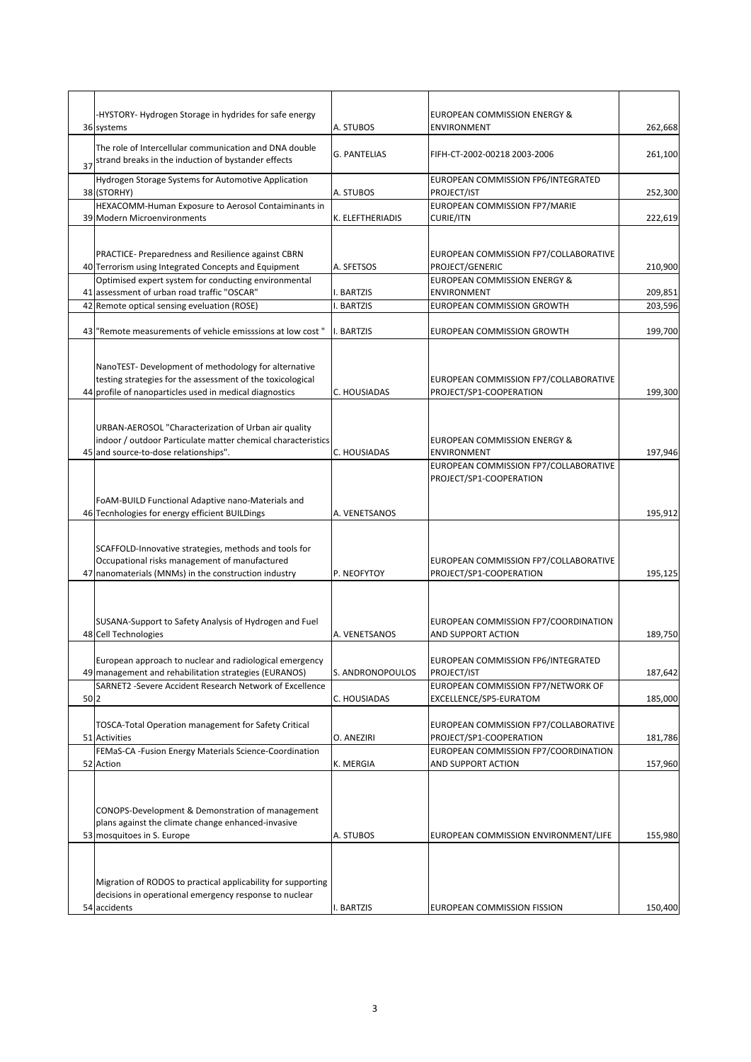|      | -HYSTORY- Hydrogen Storage in hydrides for safe energy<br>36 systems                                                  | A. STUBOS                | EUROPEAN COMMISSION ENERGY &<br><b>ENVIRONMENT</b>               | 262,668            |
|------|-----------------------------------------------------------------------------------------------------------------------|--------------------------|------------------------------------------------------------------|--------------------|
|      | The role of Intercellular communication and DNA double                                                                |                          |                                                                  |                    |
| 37   | strand breaks in the induction of bystander effects                                                                   | <b>G. PANTELIAS</b>      | FIFH-CT-2002-00218 2003-2006                                     | 261,100            |
|      | Hydrogen Storage Systems for Automotive Application                                                                   |                          | EUROPEAN COMMISSION FP6/INTEGRATED                               |                    |
|      | 38 (STORHY)                                                                                                           | A. STUBOS                | PROJECT/IST                                                      | 252,300            |
|      | HEXACOMM-Human Exposure to Aerosol Contaiminants in<br>39 Modern Microenvironments                                    | K. ELEFTHERIADIS         | EUROPEAN COMMISSION FP7/MARIE<br><b>CURIE/ITN</b>                | 222,619            |
|      |                                                                                                                       |                          |                                                                  |                    |
|      | PRACTICE- Preparedness and Resilience against CBRN                                                                    |                          | EUROPEAN COMMISSION FP7/COLLABORATIVE                            |                    |
|      | 40 Terrorism using Integrated Concepts and Equipment                                                                  | A. SFETSOS               | PROJECT/GENERIC                                                  | 210,900            |
|      | Optimised expert system for conducting environmental                                                                  |                          | <b>EUROPEAN COMMISSION ENERGY &amp;</b>                          |                    |
|      | 41 assessment of urban road traffic "OSCAR"<br>42 Remote optical sensing eveluation (ROSE)                            | I. BARTZIS<br>I. BARTZIS | <b>ENVIRONMENT</b><br><b>EUROPEAN COMMISSION GROWTH</b>          | 209,851<br>203,596 |
|      |                                                                                                                       |                          |                                                                  |                    |
|      | 43 "Remote measurements of vehicle emisssions at low cost"                                                            | I. BARTZIS               | EUROPEAN COMMISSION GROWTH                                       | 199,700            |
|      |                                                                                                                       |                          |                                                                  |                    |
|      | NanoTEST-Development of methodology for alternative                                                                   |                          |                                                                  |                    |
|      | testing strategies for the assessment of the toxicological<br>44 profile of nanoparticles used in medical diagnostics | C. HOUSIADAS             | EUROPEAN COMMISSION FP7/COLLABORATIVE<br>PROJECT/SP1-COOPERATION |                    |
|      |                                                                                                                       |                          |                                                                  | 199,300            |
|      |                                                                                                                       |                          |                                                                  |                    |
|      | URBAN-AEROSOL "Characterization of Urban air quality<br>indoor / outdoor Particulate matter chemical characteristics  |                          | <b>EUROPEAN COMMISSION ENERGY &amp;</b>                          |                    |
|      | 45 and source-to-dose relationships".                                                                                 | C. HOUSIADAS             | <b>ENVIRONMENT</b>                                               | 197,946            |
|      |                                                                                                                       |                          | EUROPEAN COMMISSION FP7/COLLABORATIVE                            |                    |
|      |                                                                                                                       |                          | PROJECT/SP1-COOPERATION                                          |                    |
|      | FoAM-BUILD Functional Adaptive nano-Materials and                                                                     |                          |                                                                  |                    |
|      | 46 Tecnhologies for energy efficient BUILDings                                                                        | A. VENETSANOS            |                                                                  | 195,912            |
|      |                                                                                                                       |                          |                                                                  |                    |
|      | SCAFFOLD-Innovative strategies, methods and tools for<br>Occupational risks management of manufactured                |                          | EUROPEAN COMMISSION FP7/COLLABORATIVE                            |                    |
|      | 47 nanomaterials (MNMs) in the construction industry                                                                  | P. NEOFYTOY              | PROJECT/SP1-COOPERATION                                          | 195,125            |
|      |                                                                                                                       |                          |                                                                  |                    |
|      |                                                                                                                       |                          |                                                                  |                    |
|      | SUSANA-Support to Safety Analysis of Hydrogen and Fuel                                                                |                          | EUROPEAN COMMISSION FP7/COORDINATION                             |                    |
|      | 48 Cell Technologies                                                                                                  | A. VENETSANOS            | <b>AND SUPPORT ACTION</b>                                        | 189,750            |
|      | European approach to nuclear and radiological emergency                                                               |                          | EUROPEAN COMMISSION FP6/INTEGRATED                               |                    |
|      | 49 management and rehabilitation strategies (EURANOS)                                                                 | S. ANDRONOPOULOS         | PROJECT/IST                                                      | 187,642            |
|      | SARNET2 - Severe Accident Research Network of Excellence                                                              |                          | EUROPEAN COMMISSION FP7/NETWORK OF                               |                    |
| 50 2 |                                                                                                                       | C. HOUSIADAS             | EXCELLENCE/SP5-EURATOM                                           | 185,000            |
|      | <b>TOSCA-Total Operation management for Safety Critical</b>                                                           |                          | EUROPEAN COMMISSION FP7/COLLABORATIVE                            |                    |
|      | 51 Activities                                                                                                         | O. ANEZIRI               | PROJECT/SP1-COOPERATION                                          | 181,786            |
|      | FEMaS-CA-Fusion Energy Materials Science-Coordination<br>52 Action                                                    | K. MERGIA                | EUROPEAN COMMISSION FP7/COORDINATION<br>AND SUPPORT ACTION       | 157,960            |
|      |                                                                                                                       |                          |                                                                  |                    |
|      |                                                                                                                       |                          |                                                                  |                    |
|      | CONOPS-Development & Demonstration of management                                                                      |                          |                                                                  |                    |
|      | plans against the climate change enhanced-invasive                                                                    |                          |                                                                  |                    |
|      | 53 mosquitoes in S. Europe                                                                                            | A. STUBOS                | EUROPEAN COMMISSION ENVIRONMENT/LIFE                             | 155,980            |
|      |                                                                                                                       |                          |                                                                  |                    |
|      | Migration of RODOS to practical applicability for supporting                                                          |                          |                                                                  |                    |
|      | decisions in operational emergency response to nuclear                                                                |                          |                                                                  |                    |
|      | 54 accidents                                                                                                          | I. BARTZIS               | EUROPEAN COMMISSION FISSION                                      | 150,400            |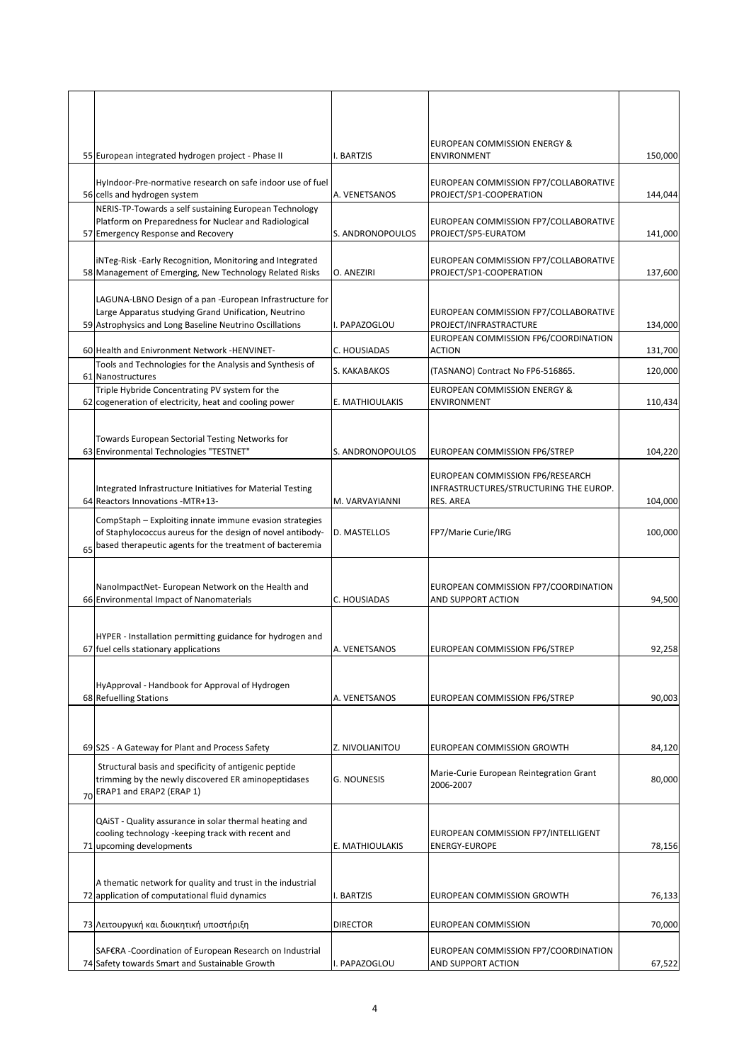|    | 55 European integrated hydrogen project - Phase II                                                                                                                                | I. BARTZIS         | EUROPEAN COMMISSION ENERGY &<br><b>ENVIRONMENT</b>                                      | 150,000 |
|----|-----------------------------------------------------------------------------------------------------------------------------------------------------------------------------------|--------------------|-----------------------------------------------------------------------------------------|---------|
|    | HyIndoor-Pre-normative research on safe indoor use of fuel<br>56 cells and hydrogen system                                                                                        | A. VENETSANOS      | EUROPEAN COMMISSION FP7/COLLABORATIVE<br>PROJECT/SP1-COOPERATION                        | 144,044 |
|    | NERIS-TP-Towards a self sustaining European Technology<br>Platform on Preparedness for Nuclear and Radiological<br>57 Emergency Response and Recovery                             | S. ANDRONOPOULOS   | EUROPEAN COMMISSION FP7/COLLABORATIVE<br>PROJECT/SP5-EURATOM                            | 141,000 |
|    | iNTeg-Risk -Early Recognition, Monitoring and Integrated<br>58 Management of Emerging, New Technology Related Risks                                                               | O. ANEZIRI         | EUROPEAN COMMISSION FP7/COLLABORATIVE<br>PROJECT/SP1-COOPERATION                        | 137,600 |
|    | LAGUNA-LBNO Design of a pan -European Infrastructure for<br>Large Apparatus studying Grand Unification, Neutrino<br>59 Astrophysics and Long Baseline Neutrino Oscillations       | I. PAPAZOGLOU      | EUROPEAN COMMISSION FP7/COLLABORATIVE<br>PROJECT/INFRASTRACTURE                         | 134,000 |
|    | 60 Health and Enivronment Network -HENVINET-                                                                                                                                      | C. HOUSIADAS       | EUROPEAN COMMISSION FP6/COORDINATION<br><b>ACTION</b>                                   | 131,700 |
|    | Tools and Technologies for the Analysis and Synthesis of<br>61 Nanostructures                                                                                                     | S. KAKABAKOS       | (TASNANO) Contract No FP6-516865.                                                       | 120,000 |
|    | Triple Hybride Concentrating PV system for the<br>62 cogeneration of electricity, heat and cooling power                                                                          | E. MATHIOULAKIS    | EUROPEAN COMMISSION ENERGY &<br><b>ENVIRONMENT</b>                                      | 110,434 |
|    | Towards European Sectorial Testing Networks for<br>63 Environmental Technologies "TESTNET"                                                                                        | S. ANDRONOPOULOS   | EUROPEAN COMMISSION FP6/STREP                                                           | 104,220 |
|    | Integrated Infrastructure Initiatives for Material Testing<br>64 Reactors Innovations - MTR+13-                                                                                   | M. VARVAYIANNI     | EUROPEAN COMMISSION FP6/RESEARCH<br>INFRASTRUCTURES/STRUCTURING THE EUROP.<br>RES. AREA | 104,000 |
| 65 | CompStaph - Exploiting innate immune evasion strategies<br>of Staphylococcus aureus for the design of novel antibody-<br>based therapeutic agents for the treatment of bacteremia | D. MASTELLOS       | FP7/Marie Curie/IRG                                                                     | 100,000 |
|    | NanoImpactNet-European Network on the Health and<br>66 Environmental Impact of Nanomaterials                                                                                      | C. HOUSIADAS       | EUROPEAN COMMISSION FP7/COORDINATION<br>AND SUPPORT ACTION                              | 94,500  |
|    | HYPER - Installation permitting guidance for hydrogen and<br>67 fuel cells stationary applications                                                                                | A. VENETSANOS      | EUROPEAN COMMISSION FP6/STREP                                                           | 92,258  |
|    | HyApproval - Handbook for Approval of Hydrogen<br>68 Refuelling Stations                                                                                                          | A. VENETSANOS      | EUROPEAN COMMISSION FP6/STREP                                                           | 90,003  |
|    |                                                                                                                                                                                   |                    |                                                                                         |         |
|    | 69 S2S - A Gateway for Plant and Process Safety<br>Structural basis and specificity of antigenic peptide                                                                          | Z. NIVOLIANITOU    | EUROPEAN COMMISSION GROWTH                                                              | 84,120  |
| 70 | trimming by the newly discovered ER aminopeptidases<br>ERAP1 and ERAP2 (ERAP 1)                                                                                                   | <b>G. NOUNESIS</b> | Marie-Curie European Reintegration Grant<br>2006-2007                                   | 80,000  |
|    | QAIST - Quality assurance in solar thermal heating and<br>cooling technology -keeping track with recent and<br>71 upcoming developments                                           | E. MATHIOULAKIS    | EUROPEAN COMMISSION FP7/INTELLIGENT<br><b>ENERGY-EUROPE</b>                             | 78,156  |
|    | A thematic network for quality and trust in the industrial<br>72 application of computational fluid dynamics                                                                      | I. BARTZIS         | EUROPEAN COMMISSION GROWTH                                                              | 76,133  |
|    | 73 Λειτουργική και διοικητική υποστήριξη                                                                                                                                          | <b>DIRECTOR</b>    | <b>EUROPEAN COMMISSION</b>                                                              | 70,000  |
|    | SAF€RA -Coordination of European Research on Industrial<br>74 Safety towards Smart and Sustainable Growth                                                                         | I. PAPAZOGLOU      | EUROPEAN COMMISSION FP7/COORDINATION<br>AND SUPPORT ACTION                              | 67,522  |
|    |                                                                                                                                                                                   |                    |                                                                                         |         |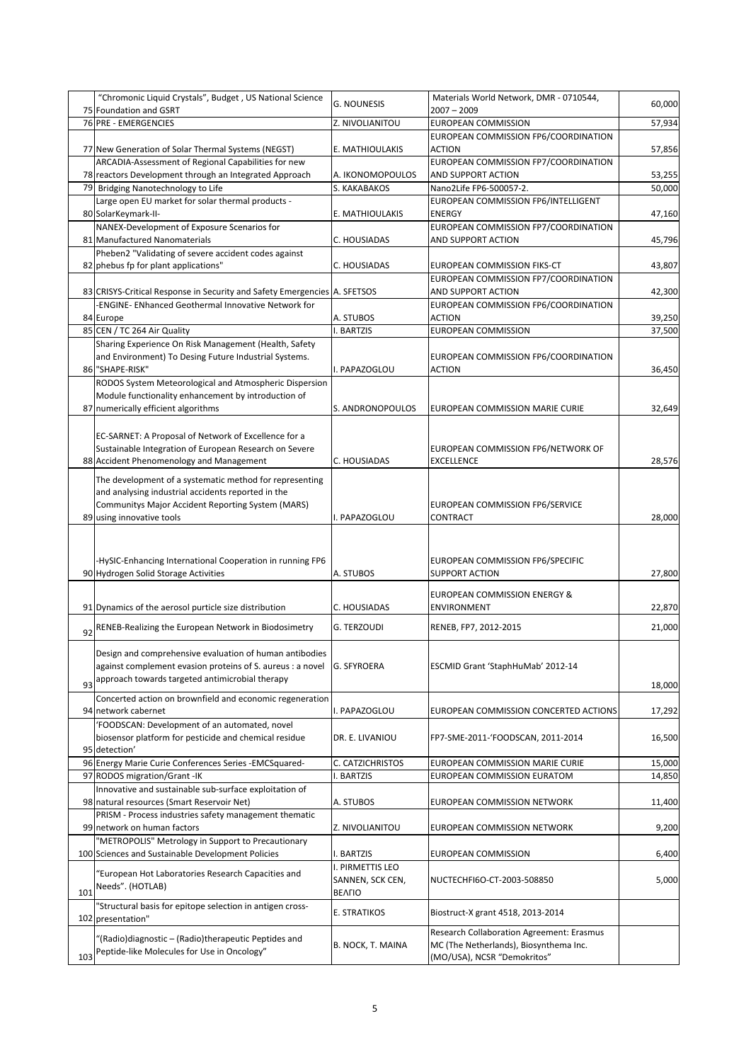|     | "Chromonic Liquid Crystals", Budget, US National Science                                                      | <b>G. NOUNESIS</b>             | Materials World Network, DMR - 0710544,                             | 60,000           |
|-----|---------------------------------------------------------------------------------------------------------------|--------------------------------|---------------------------------------------------------------------|------------------|
|     | 75 Foundation and GSRT<br>76 PRE - EMERGENCIES                                                                | Z. NIVOLIANITOU                | $2007 - 2009$<br>EUROPEAN COMMISSION                                | 57,934           |
|     |                                                                                                               |                                | EUROPEAN COMMISSION FP6/COORDINATION                                |                  |
|     | 77 New Generation of Solar Thermal Systems (NEGST)                                                            | E. MATHIOULAKIS                | <b>ACTION</b>                                                       | 57,856           |
|     | ARCADIA-Assessment of Regional Capabilities for new                                                           |                                | EUROPEAN COMMISSION FP7/COORDINATION                                |                  |
|     | 78 reactors Development through an Integrated Approach                                                        | A. IKONOMOPOULOS               | AND SUPPORT ACTION                                                  | 53,255           |
|     | 79 Bridging Nanotechnology to Life                                                                            | S. KAKABAKOS                   | Nano2Life FP6-500057-2.                                             | 50,000           |
|     | Large open EU market for solar thermal products -                                                             |                                | EUROPEAN COMMISSION FP6/INTELLIGENT                                 |                  |
|     | 80 SolarKeymark-II-                                                                                           | E. MATHIOULAKIS                | <b>ENERGY</b>                                                       | 47,160           |
|     | NANEX-Development of Exposure Scenarios for                                                                   |                                | EUROPEAN COMMISSION FP7/COORDINATION                                |                  |
|     | 81 Manufactured Nanomaterials                                                                                 | C. HOUSIADAS                   | AND SUPPORT ACTION                                                  | 45,796           |
|     | Pheben2 "Validating of severe accident codes against<br>82 phebus fp for plant applications"                  | C. HOUSIADAS                   |                                                                     |                  |
|     |                                                                                                               |                                | EUROPEAN COMMISSION FIKS-CT<br>EUROPEAN COMMISSION FP7/COORDINATION | 43,807           |
|     | 83 CRISYS-Critical Response in Security and Safety Emergencies A. SFETSOS                                     |                                | AND SUPPORT ACTION                                                  | 42,300           |
|     | -ENGINE- ENhanced Geothermal Innovative Network for                                                           |                                | EUROPEAN COMMISSION FP6/COORDINATION                                |                  |
|     | 84 Europe                                                                                                     | A. STUBOS                      | <b>ACTION</b>                                                       | 39,250           |
|     | 85 CEN / TC 264 Air Quality                                                                                   | I. BARTZIS                     | <b>EUROPEAN COMMISSION</b>                                          | 37,500           |
|     | Sharing Experience On Risk Management (Health, Safety                                                         |                                |                                                                     |                  |
|     | and Environment) To Desing Future Industrial Systems.                                                         |                                | EUROPEAN COMMISSION FP6/COORDINATION                                |                  |
|     | 86 "SHAPE-RISK"                                                                                               | . PAPAZOGLOU                   | <b>ACTION</b>                                                       | 36,450           |
|     | RODOS System Meteorological and Atmospheric Dispersion                                                        |                                |                                                                     |                  |
|     | Module functionality enhancement by introduction of                                                           | S. ANDRONOPOULOS               |                                                                     | 32,649           |
|     | 87 numerically efficient algorithms                                                                           |                                | EUROPEAN COMMISSION MARIE CURIE                                     |                  |
|     | EC-SARNET: A Proposal of Network of Excellence for a                                                          |                                |                                                                     |                  |
|     | Sustainable Integration of European Research on Severe                                                        |                                | EUROPEAN COMMISSION FP6/NETWORK OF                                  |                  |
|     | 88 Accident Phenomenology and Management                                                                      | C. HOUSIADAS                   | <b>EXCELLENCE</b>                                                   | 28,576           |
|     |                                                                                                               |                                |                                                                     |                  |
|     | The development of a systematic method for representing<br>and analysing industrial accidents reported in the |                                |                                                                     |                  |
|     | Communitys Major Accident Reporting System (MARS)                                                             |                                | EUROPEAN COMMISSION FP6/SERVICE                                     |                  |
|     | 89 using innovative tools                                                                                     | I. PAPAZOGLOU                  | CONTRACT                                                            | 28,000           |
|     |                                                                                                               |                                |                                                                     |                  |
|     |                                                                                                               |                                |                                                                     |                  |
|     |                                                                                                               |                                |                                                                     |                  |
|     |                                                                                                               |                                | EUROPEAN COMMISSION FP6/SPECIFIC                                    |                  |
|     | -HySIC-Enhancing International Cooperation in running FP6<br>90 Hydrogen Solid Storage Activities             | A. STUBOS                      | <b>SUPPORT ACTION</b>                                               | 27,800           |
|     |                                                                                                               |                                |                                                                     |                  |
|     |                                                                                                               |                                | <b>EUROPEAN COMMISSION ENERGY &amp;</b>                             |                  |
|     | 91 Dynamics of the aerosol purticle size distribution                                                         | C. HOUSIADAS                   | <b>ENVIRONMENT</b>                                                  | 22,870           |
| 92  | RENEB-Realizing the European Network in Biodosimetry                                                          | G. TERZOUDI                    | RENEB, FP7, 2012-2015                                               | 21,000           |
|     |                                                                                                               |                                |                                                                     |                  |
|     | Design and comprehensive evaluation of human antibodies                                                       |                                |                                                                     |                  |
|     | against complement evasion proteins of S. aureus : a novel                                                    | <b>G. SFYROERA</b>             | ESCMID Grant 'StaphHuMab' 2012-14                                   |                  |
| 93  | approach towards targeted antimicrobial therapy                                                               |                                |                                                                     | 18,000           |
|     | Concerted action on brownfield and economic regeneration                                                      |                                |                                                                     |                  |
|     | 94 network cabernet                                                                                           | . PAPAZOGLOU                   | EUROPEAN COMMISSION CONCERTED ACTIONS                               | 17,292           |
|     | 'FOODSCAN: Development of an automated, novel                                                                 |                                |                                                                     |                  |
|     | biosensor platform for pesticide and chemical residue                                                         | DR. E. LIVANIOU                | FP7-SME-2011-'FOODSCAN, 2011-2014                                   | 16,500           |
|     | 95 detection'                                                                                                 |                                |                                                                     |                  |
|     | 96 Energy Marie Curie Conferences Series - EMCSquared-<br>97 RODOS migration/Grant -IK                        | C. CATZICHRISTOS<br>I. BARTZIS | EUROPEAN COMMISSION MARIE CURIE<br>EUROPEAN COMMISSION EURATOM      | 15,000<br>14,850 |
|     | Innovative and sustainable sub-surface exploitation of                                                        |                                |                                                                     |                  |
|     | 98 natural resources (Smart Reservoir Net)                                                                    | A. STUBOS                      | EUROPEAN COMMISSION NETWORK                                         | 11,400           |
|     | PRISM - Process industries safety management thematic                                                         |                                |                                                                     |                  |
|     | 99 network on human factors                                                                                   | Z. NIVOLIANITOU                | EUROPEAN COMMISSION NETWORK                                         | 9,200            |
|     | "METROPOLIS" Metrology in Support to Precautionary                                                            |                                |                                                                     |                  |
|     | 100 Sciences and Sustainable Development Policies                                                             | I. BARTZIS                     | EUROPEAN COMMISSION                                                 | 6,400            |
|     | 'European Hot Laboratories Research Capacities and                                                            | I. PIRMETTIS LEO               |                                                                     |                  |
|     | Needs". (HOTLAB)                                                                                              | SANNEN, SCK CEN,               | NUCTECHFI6O-CT-2003-508850                                          | 5,000            |
| 101 |                                                                                                               | <b>BEAFIO</b>                  |                                                                     |                  |
|     | "Structural basis for epitope selection in antigen cross-<br>102 presentation"                                | E. STRATIKOS                   | Biostruct-X grant 4518, 2013-2014                                   |                  |
|     |                                                                                                               |                                | Research Collaboration Agreement: Erasmus                           |                  |
|     | "(Radio)diagnostic – (Radio)therapeutic Peptides and<br>Peptide-like Molecules for Use in Oncology"           | B. NOCK, T. MAINA              | MC (The Netherlands), Biosynthema Inc.                              |                  |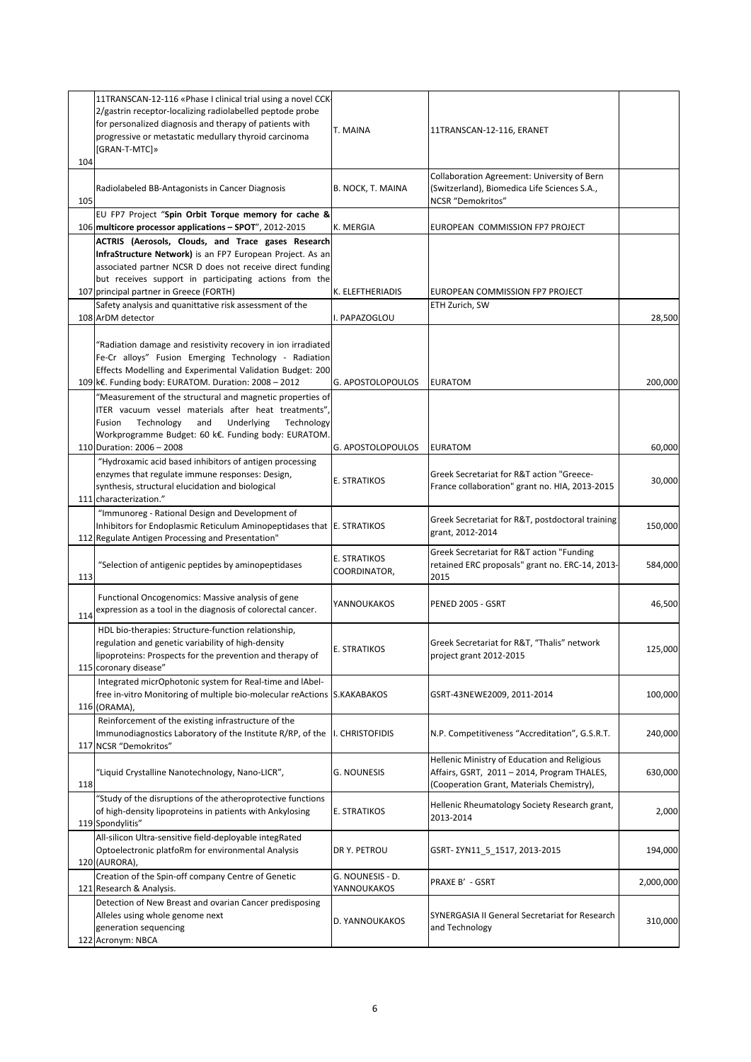| 104 | 11TRANSCAN-12-116 «Phase I clinical trial using a novel CCK-<br>2/gastrin receptor-localizing radiolabelled peptode probe<br>for personalized diagnosis and therapy of patients with<br>progressive or metastatic medullary thyroid carcinoma<br>[GRAN-T-MTC]»                    | T. MAINA                        | 11TRANSCAN-12-116, ERANET                                                                                                                |           |
|-----|-----------------------------------------------------------------------------------------------------------------------------------------------------------------------------------------------------------------------------------------------------------------------------------|---------------------------------|------------------------------------------------------------------------------------------------------------------------------------------|-----------|
| 105 | Radiolabeled BB-Antagonists in Cancer Diagnosis                                                                                                                                                                                                                                   | B. NOCK, T. MAINA               | Collaboration Agreement: University of Bern<br>(Switzerland), Biomedica Life Sciences S.A.,<br>NCSR "Demokritos"                         |           |
|     | EU FP7 Project "Spin Orbit Torque memory for cache &                                                                                                                                                                                                                              |                                 |                                                                                                                                          |           |
|     | 106 multicore processor applications - SPOT", 2012-2015                                                                                                                                                                                                                           | K. MERGIA                       | EUROPEAN COMMISSION FP7 PROJECT                                                                                                          |           |
|     | ACTRIS (Aerosols, Clouds, and Trace gases Research<br>InfraStructure Network) is an FP7 European Project. As an<br>associated partner NCSR D does not receive direct funding<br>but receives support in participating actions from the<br>107 principal partner in Greece (FORTH) | K. ELEFTHERIADIS                | EUROPEAN COMMISSION FP7 PROJECT                                                                                                          |           |
|     | Safety analysis and quanittative risk assessment of the                                                                                                                                                                                                                           |                                 | ETH Zurich, SW                                                                                                                           |           |
|     | 108 ArDM detector                                                                                                                                                                                                                                                                 | I. PAPAZOGLOU                   |                                                                                                                                          | 28,500    |
|     | 'Radiation damage and resistivity recovery in ion irradiated<br>Fe-Cr alloys" Fusion Emerging Technology - Radiation<br>Effects Modelling and Experimental Validation Budget: 200<br>109 k€. Funding body: EURATOM. Duration: 2008 - 2012                                         | G. APOSTOLOPOULOS               | <b>EURATOM</b>                                                                                                                           | 200,000   |
|     | "Measurement of the structural and magnetic properties of                                                                                                                                                                                                                         |                                 |                                                                                                                                          |           |
|     | ITER vacuum vessel materials after heat treatments"<br>Technology<br>Technology<br>Fusion<br>and<br>Underlying<br>Workprogramme Budget: 60 k€. Funding body: EURATOM<br>110 Duration: 2006 - 2008                                                                                 | G. APOSTOLOPOULOS               | <b>EURATOM</b>                                                                                                                           | 60,000    |
|     | "Hydroxamic acid based inhibitors of antigen processing                                                                                                                                                                                                                           |                                 |                                                                                                                                          |           |
|     | enzymes that regulate immune responses: Design,<br>synthesis, structural elucidation and biological<br>111 characterization."                                                                                                                                                     | E. STRATIKOS                    | Greek Secretariat for R&T action "Greece-<br>France collaboration" grant no. HIA, 2013-2015                                              | 30,000    |
|     | "Immunoreg - Rational Design and Development of<br>Inhibitors for Endoplasmic Reticulum Aminopeptidases that E. STRATIKOS<br>112 Regulate Antigen Processing and Presentation"                                                                                                    |                                 | Greek Secretariat for R&T, postdoctoral training<br>grant, 2012-2014                                                                     | 150,000   |
| 113 | "Selection of antigenic peptides by aminopeptidases                                                                                                                                                                                                                               | E. STRATIKOS<br>COORDINATOR,    | Greek Secretariat for R&T action "Funding<br>retained ERC proposals" grant no. ERC-14, 2013-<br>2015                                     | 584,000   |
| 114 | Functional Oncogenomics: Massive analysis of gene<br>expression as a tool in the diagnosis of colorectal cancer.                                                                                                                                                                  | YANNOUKAKOS                     | PENED 2005 - GSRT                                                                                                                        | 46,500    |
|     | HDL bio-therapies: Structure-function relationship,<br>regulation and genetic variability of high-density<br>lipoproteins: Prospects for the prevention and therapy of<br>115 coronary disease"                                                                                   | <b>E. STRATIKOS</b>             | Greek Secretariat for R&T, "Thalis" network<br>project grant 2012-2015                                                                   | 125,000   |
|     | Integrated micrOphotonic system for Real-time and lAbel-<br>free in-vitro Monitoring of multiple bio-molecular reActions S.KAKABAKOS<br>116 (ORAMA),                                                                                                                              |                                 | GSRT-43NEWE2009, 2011-2014                                                                                                               | 100,000   |
|     | Reinforcement of the existing infrastructure of the<br>Immunodiagnostics Laboratory of the Institute R/RP, of the<br>117 NCSR "Demokritos"                                                                                                                                        | I. CHRISTOFIDIS                 | N.P. Competitiveness "Accreditation", G.S.R.T.                                                                                           | 240,000   |
| 118 | "Liquid Crystalline Nanotechnology, Nano-LICR",                                                                                                                                                                                                                                   | G. NOUNESIS                     | Hellenic Ministry of Education and Religious<br>Affairs, GSRT, 2011 - 2014, Program THALES,<br>(Cooperation Grant, Materials Chemistry), | 630,000   |
|     | "Study of the disruptions of the atheroprotective functions<br>of high-density lipoproteins in patients with Ankylosing<br>119 Spondylitis"                                                                                                                                       | <b>E. STRATIKOS</b>             | Hellenic Rheumatology Society Research grant,<br>2013-2014                                                                               | 2,000     |
|     | All-silicon Ultra-sensitive field-deployable integRated<br>Optoelectronic platfoRm for environmental Analysis<br>120 (AURORA),                                                                                                                                                    | DR Y. PETROU                    | GSRT- ΣΥΝ11_5_1517, 2013-2015                                                                                                            | 194,000   |
|     | Creation of the Spin-off company Centre of Genetic<br>121 Research & Analysis.                                                                                                                                                                                                    | G. NOUNESIS - D.<br>YANNOUKAKOS | PRAXE B' - GSRT                                                                                                                          | 2,000,000 |
|     | Detection of New Breast and ovarian Cancer predisposing<br>Alleles using whole genome next<br>generation sequencing<br>122 Acronym: NBCA                                                                                                                                          | D. YANNOUKAKOS                  | SYNERGASIA II General Secretariat for Research<br>and Technology                                                                         | 310,000   |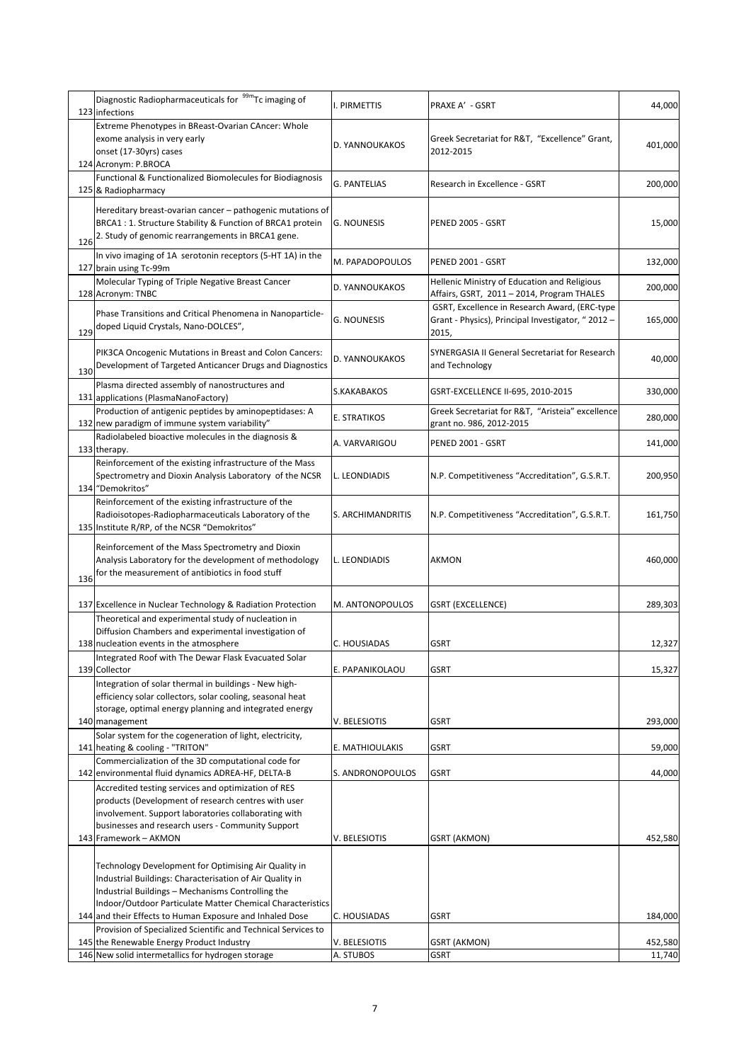|     | Diagnostic Radiopharmaceuticals for <sup>99m</sup> Tc imaging of<br>123 infections                                                                                                                                                  | I. PIRMETTIS        | PRAXE A' - GSRT                                                                                             | 44,000  |
|-----|-------------------------------------------------------------------------------------------------------------------------------------------------------------------------------------------------------------------------------------|---------------------|-------------------------------------------------------------------------------------------------------------|---------|
|     | Extreme Phenotypes in BReast-Ovarian CAncer: Whole<br>exome analysis in very early<br>onset (17-30yrs) cases<br>124 Acronym: P.BROCA                                                                                                | D. YANNOUKAKOS      | Greek Secretariat for R&T, "Excellence" Grant,<br>2012-2015                                                 | 401,000 |
|     | Functional & Functionalized Biomolecules for Biodiagnosis<br>125 & Radiopharmacy                                                                                                                                                    | <b>G. PANTELIAS</b> | Research in Excellence - GSRT                                                                               | 200,000 |
| 126 | Hereditary breast-ovarian cancer - pathogenic mutations of<br>BRCA1 : 1. Structure Stability & Function of BRCA1 protein<br>2. Study of genomic rearrangements in BRCA1 gene.                                                       | <b>G. NOUNESIS</b>  | PENED 2005 - GSRT                                                                                           | 15,000  |
|     | In vivo imaging of 1A serotonin receptors (5-HT 1A) in the<br>127 brain using Tc-99m                                                                                                                                                | M. PAPADOPOULOS     | PENED 2001 - GSRT                                                                                           | 132,000 |
|     | Molecular Typing of Triple Negative Breast Cancer<br>128 Acronym: TNBC                                                                                                                                                              | D. YANNOUKAKOS      | Hellenic Ministry of Education and Religious<br>Affairs, GSRT, 2011 - 2014, Program THALES                  | 200,000 |
| 129 | Phase Transitions and Critical Phenomena in Nanoparticle-<br>doped Liquid Crystals, Nano-DOLCES",                                                                                                                                   | <b>G. NOUNESIS</b>  | GSRT, Excellence in Research Award, (ERC-type<br>Grant - Physics), Principal Investigator, "2012 -<br>2015, | 165,000 |
| 130 | PIK3CA Oncogenic Mutations in Breast and Colon Cancers:<br>Development of Targeted Anticancer Drugs and Diagnostics                                                                                                                 | D. YANNOUKAKOS      | SYNERGASIA II General Secretariat for Research<br>and Technology                                            | 40,000  |
|     | Plasma directed assembly of nanostructures and<br>131 applications (PlasmaNanoFactory)                                                                                                                                              | S.KAKABAKOS         | GSRT-EXCELLENCE II-695, 2010-2015                                                                           | 330,000 |
|     | Production of antigenic peptides by aminopeptidases: A<br>132 new paradigm of immune system variability"                                                                                                                            | E. STRATIKOS        | Greek Secretariat for R&T, "Aristeia" excellence<br>grant no. 986, 2012-2015                                | 280,000 |
|     | Radiolabeled bioactive molecules in the diagnosis &<br>133 therapy.                                                                                                                                                                 | A. VARVARIGOU       | PENED 2001 - GSRT                                                                                           | 141,000 |
|     | Reinforcement of the existing infrastructure of the Mass<br>Spectrometry and Dioxin Analysis Laboratory of the NCSR<br>134 "Demokritos"                                                                                             | L. LEONDIADIS       | N.P. Competitiveness "Accreditation", G.S.R.T.                                                              | 200,950 |
|     | Reinforcement of the existing infrastructure of the<br>Radioisotopes-Radiopharmaceuticals Laboratory of the<br>135 Institute R/RP, of the NCSR "Demokritos"                                                                         | S. ARCHIMANDRITIS   | N.P. Competitiveness "Accreditation", G.S.R.T.                                                              | 161,750 |
| 136 | Reinforcement of the Mass Spectrometry and Dioxin<br>Analysis Laboratory for the development of methodology<br>for the measurement of antibiotics in food stuff                                                                     | L. LEONDIADIS       | AKMON                                                                                                       | 460,000 |
|     | 137 Excellence in Nuclear Technology & Radiation Protection                                                                                                                                                                         | M. ANTONOPOULOS     | GSRT (EXCELLENCE)                                                                                           | 289,303 |
|     | Theoretical and experimental study of nucleation in<br>Diffusion Chambers and experimental investigation of<br>138 nucleation events in the atmosphere                                                                              | C. HOUSIADAS        | GSRT                                                                                                        | 12,327  |
|     | Integrated Roof with The Dewar Flask Evacuated Solar<br>139 Collector                                                                                                                                                               | E. PAPANIKOLAOU     | <b>GSRT</b>                                                                                                 | 15,327  |
|     | Integration of solar thermal in buildings - New high-<br>efficiency solar collectors, solar cooling, seasonal heat<br>storage, optimal energy planning and integrated energy                                                        |                     |                                                                                                             |         |
|     | 140 management<br>Solar system for the cogeneration of light, electricity,                                                                                                                                                          | V. BELESIOTIS       | <b>GSRT</b>                                                                                                 | 293,000 |
|     | 141 heating & cooling - "TRITON"<br>Commercialization of the 3D computational code for                                                                                                                                              | E. MATHIOULAKIS     | <b>GSRT</b>                                                                                                 | 59,000  |
|     | 142 environmental fluid dynamics ADREA-HF, DELTA-B                                                                                                                                                                                  | S. ANDRONOPOULOS    | <b>GSRT</b>                                                                                                 | 44,000  |
|     | Accredited testing services and optimization of RES<br>products (Development of research centres with user<br>involvement. Support laboratories collaborating with<br>businesses and research users - Community Support             |                     |                                                                                                             |         |
|     | 143 Framework - AKMON                                                                                                                                                                                                               | V. BELESIOTIS       | <b>GSRT (AKMON)</b>                                                                                         | 452,580 |
|     | Technology Development for Optimising Air Quality in<br>Industrial Buildings: Characterisation of Air Quality in<br>Industrial Buildings - Mechanisms Controlling the<br>Indoor/Outdoor Particulate Matter Chemical Characteristics |                     |                                                                                                             |         |
|     | 144 and their Effects to Human Exposure and Inhaled Dose                                                                                                                                                                            | C. HOUSIADAS        | <b>GSRT</b>                                                                                                 | 184,000 |
|     | Provision of Specialized Scientific and Technical Services to<br>145 the Renewable Energy Product Industry                                                                                                                          | V. BELESIOTIS       | <b>GSRT (AKMON)</b>                                                                                         | 452,580 |
|     | 146 New solid intermetallics for hydrogen storage                                                                                                                                                                                   | A. STUBOS           | <b>GSRT</b>                                                                                                 | 11,740  |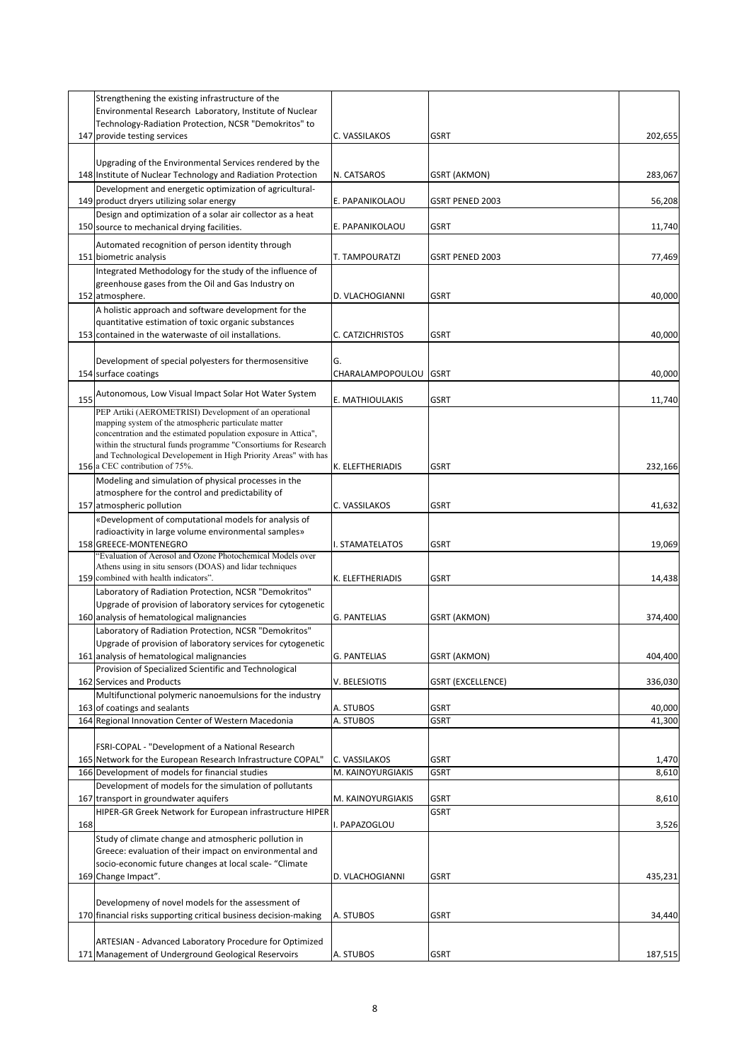|     | Strengthening the existing infrastructure of the<br>Environmental Research Laboratory, Institute of Nuclear                        |                     |                        |         |
|-----|------------------------------------------------------------------------------------------------------------------------------------|---------------------|------------------------|---------|
|     | Technology-Radiation Protection, NCSR "Demokritos" to                                                                              |                     |                        |         |
|     | 147 provide testing services                                                                                                       | C. VASSILAKOS       | <b>GSRT</b>            | 202,655 |
|     |                                                                                                                                    |                     |                        |         |
|     | Upgrading of the Environmental Services rendered by the                                                                            |                     |                        |         |
|     | 148 Institute of Nuclear Technology and Radiation Protection<br>Development and energetic optimization of agricultural-            | N. CATSAROS         | GSRT (AKMON)           | 283,067 |
|     | 149 product dryers utilizing solar energy                                                                                          | E. PAPANIKOLAOU     | <b>GSRT PENED 2003</b> | 56,208  |
|     | Design and optimization of a solar air collector as a heat                                                                         |                     |                        |         |
|     | 150 source to mechanical drying facilities.                                                                                        | E. PAPANIKOLAOU     | <b>GSRT</b>            | 11,740  |
|     | Automated recognition of person identity through                                                                                   |                     |                        |         |
|     | 151 biometric analysis                                                                                                             | T. TAMPOURATZI      | GSRT PENED 2003        | 77,469  |
|     | Integrated Methodology for the study of the influence of                                                                           |                     |                        |         |
|     | greenhouse gases from the Oil and Gas Industry on                                                                                  |                     |                        |         |
|     | 152 atmosphere.                                                                                                                    | D. VLACHOGIANNI     | <b>GSRT</b>            | 40,000  |
|     | A holistic approach and software development for the                                                                               |                     |                        |         |
|     | quantitative estimation of toxic organic substances<br>153 contained in the waterwaste of oil installations.                       | C. CATZICHRISTOS    | <b>GSRT</b>            | 40,000  |
|     |                                                                                                                                    |                     |                        |         |
|     | Development of special polyesters for thermosensitive                                                                              | G.                  |                        |         |
|     | 154 surface coatings                                                                                                               | CHARALAMPOPOULOU    | GSRT                   | 40,000  |
|     | Autonomous, Low Visual Impact Solar Hot Water System                                                                               |                     |                        |         |
| 155 | PEP Artiki (AEROMETRISI) Development of an operational                                                                             | E. MATHIOULAKIS     | <b>GSRT</b>            | 11,740  |
|     | mapping system of the atmospheric particulate matter                                                                               |                     |                        |         |
|     | concentration and the estimated population exposure in Attica",                                                                    |                     |                        |         |
|     | within the structural funds programme "Consortiums for Research<br>and Technological Developement in High Priority Areas" with has |                     |                        |         |
|     | 156 a CEC contribution of 75%.                                                                                                     | K. ELEFTHERIADIS    | <b>GSRT</b>            | 232,166 |
|     | Modeling and simulation of physical processes in the                                                                               |                     |                        |         |
|     | atmosphere for the control and predictability of                                                                                   |                     |                        |         |
|     | 157 atmospheric pollution                                                                                                          | C. VASSILAKOS       | <b>GSRT</b>            | 41,632  |
|     | «Development of computational models for analysis of                                                                               |                     |                        |         |
|     | radioactivity in large volume environmental samples»<br>158 GREECE-MONTENEGRO                                                      | I. STAMATELATOS     | <b>GSRT</b>            | 19,069  |
|     | "Evaluation of Aerosol and Ozone Photochemical Models over                                                                         |                     |                        |         |
|     | Athens using in situ sensors (DOAS) and lidar techniques                                                                           |                     |                        |         |
|     | 159 combined with health indicators".                                                                                              | K. ELEFTHERIADIS    | <b>GSRT</b>            | 14,438  |
|     | Laboratory of Radiation Protection, NCSR "Demokritos"<br>Upgrade of provision of laboratory services for cytogenetic               |                     |                        |         |
|     | 160 analysis of hematological malignancies                                                                                         | <b>G. PANTELIAS</b> | GSRT (AKMON)           | 374,400 |
|     | Laboratory of Radiation Protection, NCSR "Demokritos"                                                                              |                     |                        |         |
|     | Upgrade of provision of laboratory services for cytogenetic                                                                        |                     |                        |         |
|     | 161 analysis of hematological malignancies                                                                                         | <b>G. PANTELIAS</b> | GSRT (AKMON)           | 404,400 |
|     | Provision of Specialized Scientific and Technological                                                                              |                     |                        |         |
|     | 162 Services and Products                                                                                                          | V. BELESIOTIS       | GSRT (EXCELLENCE)      | 336,030 |
|     | Multifunctional polymeric nanoemulsions for the industry<br>163 of coatings and sealants                                           | A. STUBOS           | <b>GSRT</b>            | 40,000  |
|     | 164 Regional Innovation Center of Western Macedonia                                                                                | A. STUBOS           | <b>GSRT</b>            | 41,300  |
|     |                                                                                                                                    |                     |                        |         |
|     | FSRI-COPAL - "Development of a National Research                                                                                   |                     |                        |         |
|     | 165 Network for the European Research Infrastructure COPAL"                                                                        | C. VASSILAKOS       | <b>GSRT</b>            | 1,470   |
|     | 166 Development of models for financial studies                                                                                    | M. KAINOYURGIAKIS   | <b>GSRT</b>            | 8,610   |
|     | Development of models for the simulation of pollutants<br>167 transport in groundwater aquifers                                    | M. KAINOYURGIAKIS   | <b>GSRT</b>            | 8,610   |
|     | HIPER-GR Greek Network for European infrastructure HIPER                                                                           |                     | <b>GSRT</b>            |         |
| 168 |                                                                                                                                    | I. PAPAZOGLOU       |                        | 3,526   |
|     | Study of climate change and atmospheric pollution in                                                                               |                     |                        |         |
|     | Greece: evaluation of their impact on environmental and                                                                            |                     |                        |         |
|     | socio-economic future changes at local scale- "Climate                                                                             |                     |                        |         |
|     | 169 Change Impact".                                                                                                                | D. VLACHOGIANNI     | <b>GSRT</b>            | 435,231 |
|     | Developmeny of novel models for the assessment of                                                                                  |                     |                        |         |
|     | 170 financial risks supporting critical business decision-making                                                                   | A. STUBOS           | <b>GSRT</b>            | 34,440  |
|     |                                                                                                                                    |                     |                        |         |
|     | ARTESIAN - Advanced Laboratory Procedure for Optimized                                                                             |                     |                        |         |
|     | 171 Management of Underground Geological Reservoirs                                                                                | A. STUBOS           | GSRT                   | 187,515 |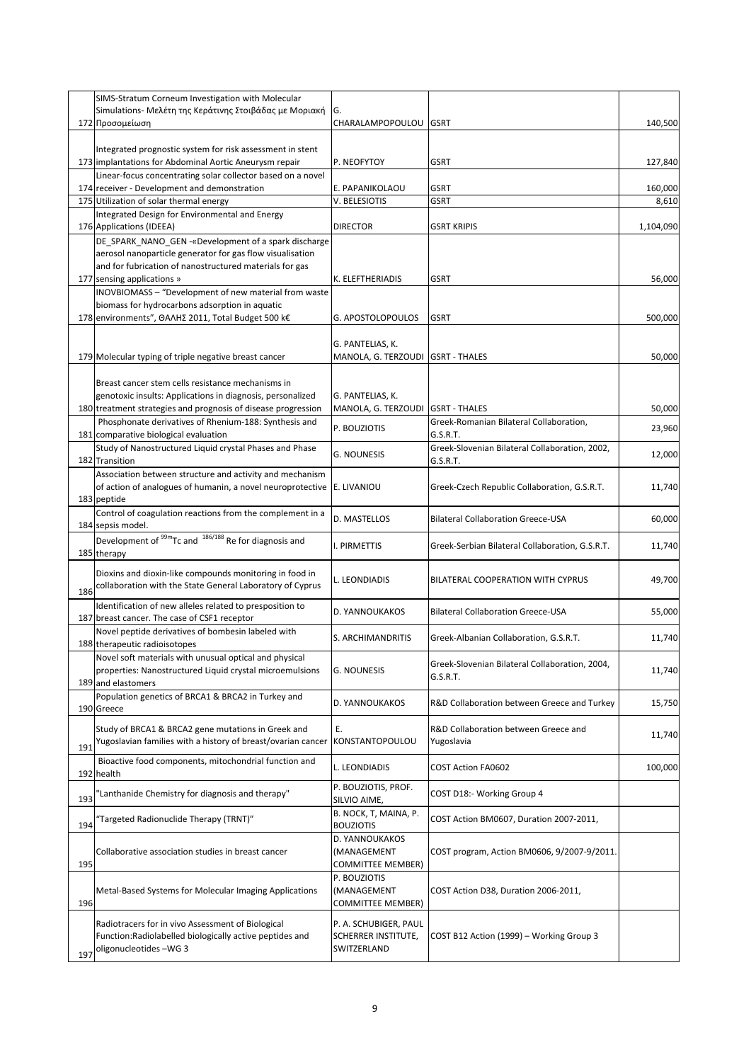|     | SIMS-Stratum Corneum Investigation with Molecular                                              |                                                       |                                                     |                  |
|-----|------------------------------------------------------------------------------------------------|-------------------------------------------------------|-----------------------------------------------------|------------------|
|     | Simulations- Μελέτη της Κεράτινης Στοιβάδας με Μοριακή                                         | G.                                                    |                                                     | 140,500          |
|     | 172 Προσομείωση                                                                                | CHARALAMPOPOULOU GSRT                                 |                                                     |                  |
|     | Integrated prognostic system for risk assessment in stent                                      |                                                       |                                                     |                  |
|     | 173 implantations for Abdominal Aortic Aneurysm repair                                         | P. NEOFYTOY                                           | <b>GSRT</b>                                         | 127,840          |
|     | Linear-focus concentrating solar collector based on a novel                                    |                                                       |                                                     |                  |
|     | 174 receiver - Development and demonstration<br>175 Utilization of solar thermal energy        | E. PAPANIKOLAOU<br>V. BELESIOTIS                      | <b>GSRT</b><br>GSRT                                 | 160,000<br>8,610 |
|     | Integrated Design for Environmental and Energy                                                 |                                                       |                                                     |                  |
|     | 176 Applications (IDEEA)                                                                       | <b>DIRECTOR</b>                                       | <b>GSRT KRIPIS</b>                                  | 1,104,090        |
|     | DE_SPARK_NANO_GEN - «Development of a spark discharge                                          |                                                       |                                                     |                  |
|     | aerosol nanoparticle generator for gas flow visualisation                                      |                                                       |                                                     |                  |
|     | and for fubrication of nanostructured materials for gas<br>177 sensing applications »          | K. ELEFTHERIADIS                                      | <b>GSRT</b>                                         | 56,000           |
|     | INOVBIOMASS - "Development of new material from waste                                          |                                                       |                                                     |                  |
|     | biomass for hydrocarbons adsorption in aquatic                                                 |                                                       |                                                     |                  |
|     | 178 environments", ΘΑΛΗΣ 2011, Total Budget 500 k€                                             | G. APOSTOLOPOULOS                                     | <b>GSRT</b>                                         | 500,000          |
|     |                                                                                                |                                                       |                                                     |                  |
|     | 179 Molecular typing of triple negative breast cancer                                          | G. PANTELIAS, K.<br>MANOLA, G. TERZOUDI GSRT - THALES |                                                     | 50,000           |
|     |                                                                                                |                                                       |                                                     |                  |
|     | Breast cancer stem cells resistance mechanisms in                                              |                                                       |                                                     |                  |
|     | genotoxic insults: Applications in diagnosis, personalized                                     | G. PANTELIAS, K.                                      |                                                     |                  |
|     | 180 treatment strategies and prognosis of disease progression                                  | MANOLA, G. TERZOUDI GSRT - THALES                     |                                                     | 50,000           |
|     | Phosphonate derivatives of Rhenium-188: Synthesis and<br>181 comparative biological evaluation | P. BOUZIOTIS                                          | Greek-Romanian Bilateral Collaboration,<br>G.S.R.T. | 23,960           |
|     | Study of Nanostructured Liquid crystal Phases and Phase                                        |                                                       | Greek-Slovenian Bilateral Collaboration, 2002,      |                  |
|     | 182 Transition                                                                                 | G. NOUNESIS                                           | G.S.R.T.                                            | 12,000           |
|     | Association between structure and activity and mechanism                                       |                                                       |                                                     |                  |
|     | of action of analogues of humanin, a novel neuroprotective                                     | E. LIVANIOU                                           | Greek-Czech Republic Collaboration, G.S.R.T.        | 11,740           |
|     | 183 peptide                                                                                    |                                                       |                                                     |                  |
|     | Control of coagulation reactions from the complement in a<br>184 sepsis model.                 | D. MASTELLOS                                          | <b>Bilateral Collaboration Greece-USA</b>           | 60,000           |
|     | Development of <sup>99m</sup> Tc and <sup>186/188</sup> Re for diagnosis and                   |                                                       |                                                     |                  |
|     | 185 therapy                                                                                    | I. PIRMETTIS                                          | Greek-Serbian Bilateral Collaboration, G.S.R.T.     | 11,740           |
|     | Dioxins and dioxin-like compounds monitoring in food in                                        |                                                       |                                                     |                  |
|     | collaboration with the State General Laboratory of Cyprus                                      | L. LEONDIADIS                                         | BILATERAL COOPERATION WITH CYPRUS                   | 49,700           |
| 186 | Identification of new alleles related to presposition to                                       |                                                       |                                                     |                  |
|     | 187 breast cancer. The case of CSF1 receptor                                                   | D. YANNOUKAKOS                                        | <b>Bilateral Collaboration Greece-USA</b>           | 55,000           |
|     | Novel peptide derivatives of bombesin labeled with                                             |                                                       |                                                     |                  |
|     | 188 therapeutic radioisotopes                                                                  | S. ARCHIMANDRITIS                                     | Greek-Albanian Collaboration, G.S.R.T.              | 11,740           |
|     | Novel soft materials with unusual optical and physical                                         |                                                       | Greek-Slovenian Bilateral Collaboration, 2004,      |                  |
|     | properties: Nanostructured Liquid crystal microemulsions<br>189 and elastomers                 | <b>G. NOUNESIS</b>                                    | G.S.R.T.                                            | 11,740           |
|     | Population genetics of BRCA1 & BRCA2 in Turkey and                                             |                                                       |                                                     |                  |
|     | 190 Greece                                                                                     | D. YANNOUKAKOS                                        | R&D Collaboration between Greece and Turkey         | 15,750           |
|     | Study of BRCA1 & BRCA2 gene mutations in Greek and                                             | Ε.                                                    | R&D Collaboration between Greece and                |                  |
|     | Yugoslavian families with a history of breast/ovarian cancer                                   | KONSTANTOPOULOU                                       | Yugoslavia                                          | 11,740           |
| 191 |                                                                                                |                                                       |                                                     |                  |
|     | Bioactive food components, mitochondrial function and<br>192 health                            | L. LEONDIADIS                                         | <b>COST Action FA0602</b>                           | 100,000          |
|     |                                                                                                | P. BOUZIOTIS, PROF.                                   |                                                     |                  |
| 193 | 'Lanthanide Chemistry for diagnosis and therapy"                                               | SILVIO AIME,                                          | COST D18:- Working Group 4                          |                  |
|     | 'Targeted Radionuclide Therapy (TRNT)"                                                         | B. NOCK, T, MAINA, P.                                 | COST Action BM0607, Duration 2007-2011,             |                  |
| 194 |                                                                                                | <b>BOUZIOTIS</b>                                      |                                                     |                  |
|     | Collaborative association studies in breast cancer                                             | D. YANNOUKAKOS<br>(MANAGEMENT                         | COST program, Action BM0606, 9/2007-9/2011.         |                  |
| 195 |                                                                                                | <b>COMMITTEE MEMBER)</b>                              |                                                     |                  |
|     |                                                                                                | P. BOUZIOTIS                                          |                                                     |                  |
|     | Metal-Based Systems for Molecular Imaging Applications                                         | (MANAGEMENT                                           | COST Action D38, Duration 2006-2011,                |                  |
| 196 |                                                                                                | <b>COMMITTEE MEMBER)</b>                              |                                                     |                  |
|     | Radiotracers for in vivo Assessment of Biological                                              | P. A. SCHUBIGER, PAUL                                 |                                                     |                  |
|     | Function: Radiolabelled biologically active peptides and                                       | SCHERRER INSTITUTE,                                   | COST B12 Action (1999) - Working Group 3            |                  |
| 197 | oligonucleotides-WG 3                                                                          | SWITZERLAND                                           |                                                     |                  |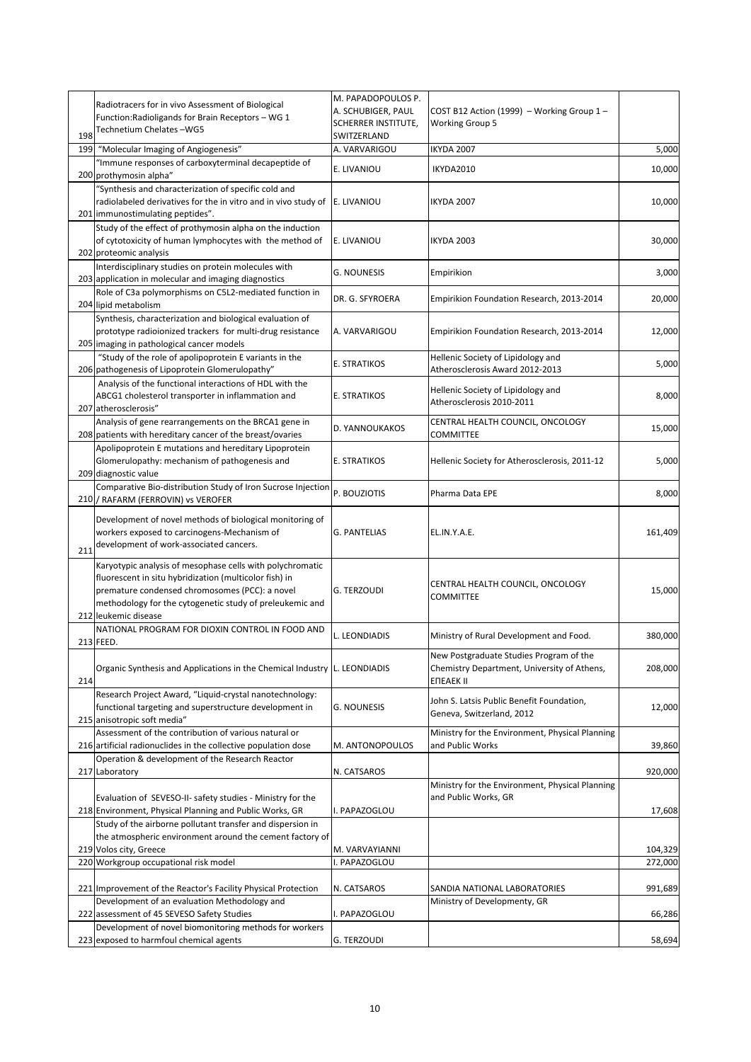|     | Radiotracers for in vivo Assessment of Biological                                                                                                                                                                                                         | M. PAPADOPOULOS P.                        |                                                                                                     |         |
|-----|-----------------------------------------------------------------------------------------------------------------------------------------------------------------------------------------------------------------------------------------------------------|-------------------------------------------|-----------------------------------------------------------------------------------------------------|---------|
|     | Function: Radioligands for Brain Receptors - WG 1                                                                                                                                                                                                         | A. SCHUBIGER, PAUL<br>SCHERRER INSTITUTE, | COST B12 Action (1999) - Working Group 1-<br><b>Working Group 5</b>                                 |         |
| 198 | Technetium Chelates-WG5                                                                                                                                                                                                                                   | SWITZERLAND                               |                                                                                                     |         |
| 199 | "Molecular Imaging of Angiogenesis"                                                                                                                                                                                                                       | A. VARVARIGOU                             | IKYDA 2007                                                                                          | 5,000   |
|     | "Immune responses of carboxyterminal decapeptide of<br>200 prothymosin alpha"                                                                                                                                                                             | E. LIVANIOU                               | IKYDA2010                                                                                           | 10,000  |
|     | "Synthesis and characterization of specific cold and<br>radiolabeled derivatives for the in vitro and in vivo study of<br>201 immunostimulating peptides".                                                                                                | E. LIVANIOU                               | <b>IKYDA 2007</b>                                                                                   | 10,000  |
|     | Study of the effect of prothymosin alpha on the induction<br>of cytotoxicity of human lymphocytes with the method of<br>202 proteomic analysis                                                                                                            | E. LIVANIOU                               | <b>IKYDA 2003</b>                                                                                   | 30,000  |
|     | Interdisciplinary studies on protein molecules with<br>203 application in molecular and imaging diagnostics                                                                                                                                               | <b>G. NOUNESIS</b>                        | Empirikion                                                                                          | 3,000   |
|     | Role of C3a polymorphisms on C5L2-mediated function in<br>204 lipid metabolism                                                                                                                                                                            | DR. G. SFYROERA                           | Empirikion Foundation Research, 2013-2014                                                           | 20,000  |
|     | Synthesis, characterization and biological evaluation of<br>prototype radioionized trackers for multi-drug resistance<br>205 imaging in pathological cancer models                                                                                        | A. VARVARIGOU                             | Empirikion Foundation Research, 2013-2014                                                           | 12,000  |
|     | "Study of the role of apolipoprotein E variants in the<br>206 pathogenesis of Lipoprotein Glomerulopathy"                                                                                                                                                 | E. STRATIKOS                              | Hellenic Society of Lipidology and<br>Atherosclerosis Award 2012-2013                               | 5,000   |
|     | Analysis of the functional interactions of HDL with the<br>ABCG1 cholesterol transporter in inflammation and<br>207 atherosclerosis"                                                                                                                      | E. STRATIKOS                              | Hellenic Society of Lipidology and<br>Atherosclerosis 2010-2011                                     | 8,000   |
|     | Analysis of gene rearrangements on the BRCA1 gene in<br>208 patients with hereditary cancer of the breast/ovaries                                                                                                                                         | D. YANNOUKAKOS                            | CENTRAL HEALTH COUNCIL, ONCOLOGY<br>COMMITTEE                                                       | 15,000  |
|     | Apolipoprotein E mutations and hereditary Lipoprotein<br>Glomerulopathy: mechanism of pathogenesis and<br>209 diagnostic value                                                                                                                            | E. STRATIKOS                              | Hellenic Society for Atherosclerosis, 2011-12                                                       | 5,000   |
|     | Comparative Bio-distribution Study of Iron Sucrose Injection<br>210 / RAFARM (FERROVIN) vs VEROFER                                                                                                                                                        | P. BOUZIOTIS                              | Pharma Data EPE                                                                                     | 8,000   |
| 211 | Development of novel methods of biological monitoring of<br>workers exposed to carcinogens-Mechanism of<br>development of work-associated cancers.                                                                                                        | <b>G. PANTELIAS</b>                       | EL.IN.Y.A.E.                                                                                        | 161,409 |
|     | Karyotypic analysis of mesophase cells with polychromatic<br>fluorescent in situ hybridization (multicolor fish) in<br>premature condensed chromosomes (PCC): a novel<br>methodology for the cytogenetic study of preleukemic and<br>212 leukemic disease | G. TERZOUDI                               | CENTRAL HEALTH COUNCIL, ONCOLOGY<br>COMMITTEE                                                       | 15,000  |
|     | NATIONAL PROGRAM FOR DIOXIN CONTROL IN FOOD AND<br>213 FEED.                                                                                                                                                                                              | L. LEONDIADIS                             | Ministry of Rural Development and Food.                                                             | 380,000 |
| 214 | Organic Synthesis and Applications in the Chemical Industry L. LEONDIADIS                                                                                                                                                                                 |                                           | New Postgraduate Studies Program of the<br>Chemistry Department, University of Athens,<br>ENEAEK II | 208,000 |
|     | Research Project Award, "Liquid-crystal nanotechnology:<br>functional targeting and superstructure development in<br>215 anisotropic soft media"                                                                                                          | <b>G. NOUNESIS</b>                        | John S. Latsis Public Benefit Foundation,<br>Geneva, Switzerland, 2012                              | 12,000  |
|     | Assessment of the contribution of various natural or<br>216 artificial radionuclides in the collective population dose                                                                                                                                    | M. ANTONOPOULOS                           | Ministry for the Environment, Physical Planning<br>and Public Works                                 | 39,860  |
|     | Operation & development of the Research Reactor<br>217 Laboratory                                                                                                                                                                                         | N. CATSAROS                               |                                                                                                     | 920,000 |
|     | Evaluation of SEVESO-II- safety studies - Ministry for the<br>218 Environment, Physical Planning and Public Works, GR                                                                                                                                     | I. PAPAZOGLOU                             | Ministry for the Environment, Physical Planning<br>and Public Works, GR                             | 17,608  |
|     | Study of the airborne pollutant transfer and dispersion in<br>the atmospheric environment around the cement factory of                                                                                                                                    |                                           |                                                                                                     |         |
|     | 219 Volos city, Greece                                                                                                                                                                                                                                    | M. VARVAYIANNI                            |                                                                                                     | 104,329 |
|     | 220 Workgroup occupational risk model                                                                                                                                                                                                                     | I. PAPAZOGLOU                             |                                                                                                     | 272,000 |
|     | 221 Improvement of the Reactor's Facility Physical Protection<br>Development of an evaluation Methodology and                                                                                                                                             | N. CATSAROS                               | SANDIA NATIONAL LABORATORIES<br>Ministry of Developmenty, GR                                        | 991,689 |
|     | 222 assessment of 45 SEVESO Safety Studies                                                                                                                                                                                                                | I. PAPAZOGLOU                             |                                                                                                     | 66,286  |
|     | Development of novel biomonitoring methods for workers<br>223 exposed to harmfoul chemical agents                                                                                                                                                         | G. TERZOUDI                               |                                                                                                     | 58,694  |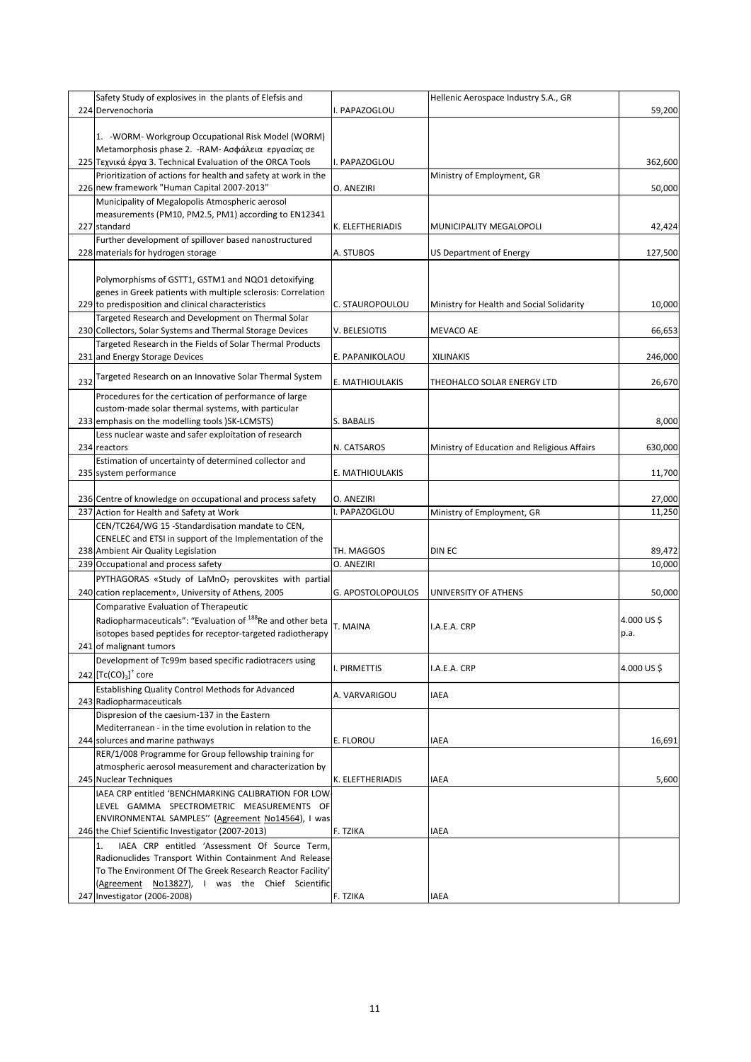|     | Safety Study of explosives in the plants of Elefsis and                |                   | Hellenic Aerospace Industry S.A., GR        |            |
|-----|------------------------------------------------------------------------|-------------------|---------------------------------------------|------------|
|     | 224 Dervenochoria                                                      | . PAPAZOGLOU      |                                             | 59,200     |
|     |                                                                        |                   |                                             |            |
|     | 1. - WORM- Workgroup Occupational Risk Model (WORM)                    |                   |                                             |            |
|     | Metamorphosis phase 2. - RAM- Ασφάλεια εργασίας σε                     |                   |                                             |            |
|     | 225 Τεχνικά έργα 3. Technical Evaluation of the ORCA Tools             | I. PAPAZOGLOU     |                                             | 362,600    |
|     | Prioritization of actions for health and safety at work in the         |                   | Ministry of Employment, GR                  |            |
|     | 226 new framework "Human Capital 2007-2013"                            | O. ANEZIRI        |                                             | 50,000     |
|     | Municipality of Megalopolis Atmospheric aerosol                        |                   |                                             |            |
|     | measurements (PM10, PM2.5, PM1) according to EN12341                   |                   |                                             |            |
|     | 227 standard                                                           | K. ELEFTHERIADIS  | MUNICIPALITY MEGALOPOLI                     | 42,424     |
|     | Further development of spillover based nanostructured                  |                   |                                             |            |
|     | 228 materials for hydrogen storage                                     | A. STUBOS         | <b>US Department of Energy</b>              | 127,500    |
|     |                                                                        |                   |                                             |            |
|     | Polymorphisms of GSTT1, GSTM1 and NQO1 detoxifying                     |                   |                                             |            |
|     | genes in Greek patients with multiple sclerosis: Correlation           |                   |                                             |            |
|     | 229 to predisposition and clinical characteristics                     | C. STAUROPOULOU   | Ministry for Health and Social Solidarity   | 10,000     |
|     | Targeted Research and Development on Thermal Solar                     |                   |                                             |            |
|     | 230 Collectors, Solar Systems and Thermal Storage Devices              | V. BELESIOTIS     | <b>MEVACO AE</b>                            | 66,653     |
|     | Targeted Research in the Fields of Solar Thermal Products              |                   |                                             |            |
|     | 231 and Energy Storage Devices                                         | E. PAPANIKOLAOU   | <b>XILINAKIS</b>                            | 246,000    |
|     | Targeted Research on an Innovative Solar Thermal System                |                   |                                             |            |
| 232 |                                                                        | E. MATHIOULAKIS   | THEOHALCO SOLAR ENERGY LTD                  | 26,670     |
|     | Procedures for the certication of performance of large                 |                   |                                             |            |
|     | custom-made solar thermal systems, with particular                     |                   |                                             |            |
|     | 233 emphasis on the modelling tools )SK-LCMSTS)                        | S. BABALIS        |                                             | 8,000      |
|     | Less nuclear waste and safer exploitation of research                  |                   |                                             |            |
|     | 234 reactors                                                           | N. CATSAROS       | Ministry of Education and Religious Affairs | 630,000    |
|     | Estimation of uncertainty of determined collector and                  |                   |                                             |            |
|     | 235 system performance                                                 | E. MATHIOULAKIS   |                                             | 11,700     |
|     |                                                                        |                   |                                             |            |
|     | 236 Centre of knowledge on occupational and process safety             | O. ANEZIRI        |                                             | 27,000     |
|     | 237 Action for Health and Safety at Work                               | I. PAPAZOGLOU     | Ministry of Employment, GR                  | 11,250     |
|     | CEN/TC264/WG 15 -Standardisation mandate to CEN,                       |                   |                                             |            |
|     | CENELEC and ETSI in support of the Implementation of the               |                   |                                             |            |
|     | 238 Ambient Air Quality Legislation                                    | TH. MAGGOS        | DIN EC                                      | 89,472     |
|     | 239 Occupational and process safety                                    | O. ANEZIRI        |                                             | 10,000     |
|     | PYTHAGORAS «Study of LaMnO <sub>7</sub> perovskites with partial       |                   |                                             |            |
|     | 240 cation replacement», University of Athens, 2005                    | G. APOSTOLOPOULOS | UNIVERSITY OF ATHENS                        | 50,000     |
|     | Comparative Evaluation of Therapeutic                                  |                   |                                             |            |
|     | Radiopharmaceuticals": "Evaluation of <sup>188</sup> Re and other beta | T. MAINA          | I.A.E.A. CRP                                | 4.000 US\$ |
|     | isotopes based peptides for receptor-targeted radiotherapy             |                   |                                             | p.a.       |
|     | 241 of malignant tumors                                                |                   |                                             |            |
|     | Development of Tc99m based specific radiotracers using                 |                   |                                             |            |
|     | 242 $[TC(CO)3]$ <sup>+</sup> core                                      | I. PIRMETTIS      | I.A.E.A. CRP                                | 4.000 US\$ |
|     | Establishing Quality Control Methods for Advanced                      |                   |                                             |            |
|     | 243 Radiopharmaceuticals                                               | A. VARVARIGOU     | <b>IAEA</b>                                 |            |
|     | Dispresion of the caesium-137 in the Eastern                           |                   |                                             |            |
|     | Mediterranean - in the time evolution in relation to the               |                   |                                             |            |
|     | 244 solurces and marine pathways                                       | E. FLOROU         | <b>IAEA</b>                                 | 16,691     |
|     | RER/1/008 Programme for Group fellowship training for                  |                   |                                             |            |
|     | atmospheric aerosol measurement and characterization by                |                   |                                             |            |
|     | 245 Nuclear Techniques                                                 | K. ELEFTHERIADIS  | <b>IAEA</b>                                 | 5,600      |
|     | IAEA CRP entitled 'BENCHMARKING CALIBRATION FOR LOW-                   |                   |                                             |            |
|     | LEVEL GAMMA SPECTROMETRIC MEASUREMENTS OF                              |                   |                                             |            |
|     | ENVIRONMENTAL SAMPLES" (Agreement No14564), I was                      |                   |                                             |            |
|     | 246 the Chief Scientific Investigator (2007-2013)                      | F. TZIKA          | <b>IAEA</b>                                 |            |
|     | IAEA CRP entitled 'Assessment Of Source Term,<br>1.                    |                   |                                             |            |
|     | Radionuclides Transport Within Containment And Release                 |                   |                                             |            |
|     | To The Environment Of The Greek Research Reactor Facility'             |                   |                                             |            |
|     | (Agreement No13827), I was the Chief Scientific                        |                   |                                             |            |
|     | 247 Investigator (2006-2008)                                           | F. TZIKA          | <b>IAEA</b>                                 |            |